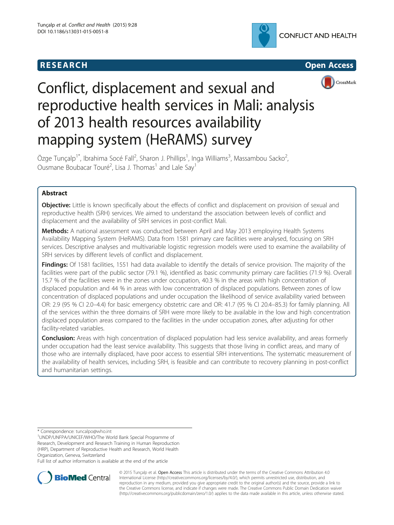





# Conflict, displacement and sexual and reproductive health services in Mali: analysis of 2013 health resources availability mapping system (HeRAMS) survey

Özge Tunçalp<sup>1\*</sup>, Ibrahima Socé Fall<sup>2</sup>, Sharon J. Phillips<sup>1</sup>, Inga Williams<sup>3</sup>, Massambou Sacko<sup>2</sup> , Ousmane Boubacar Touré<sup>2</sup>, Lisa J. Thomas<sup>1</sup> and Lale Say<sup>1</sup>

# Abstract

Objective: Little is known specifically about the effects of conflict and displacement on provision of sexual and reproductive health (SRH) services. We aimed to understand the association between levels of conflict and displacement and the availability of SRH services in post-conflict Mali.

Methods: A national assessment was conducted between April and May 2013 employing Health Systems Availability Mapping System (HeRAMS). Data from 1581 primary care facilities were analysed, focusing on SRH services. Descriptive analyses and multivariable logistic regression models were used to examine the availability of SRH services by different levels of conflict and displacement.

Findings: Of 1581 facilities, 1551 had data available to identify the details of service provision. The majority of the facilities were part of the public sector (79.1 %), identified as basic community primary care facilities (71.9 %). Overall 15.7 % of the facilities were in the zones under occupation, 40.3 % in the areas with high concentration of displaced population and 44 % in areas with low concentration of displaced populations. Between zones of low concentration of displaced populations and under occupation the likelihood of service availability varied between OR: 2.9 (95 % CI 2.0–4.4) for basic emergency obstetric care and OR: 41.7 (95 % CI 20.4–85.3) for family planning. All of the services within the three domains of SRH were more likely to be available in the low and high concentration displaced population areas compared to the facilities in the under occupation zones, after adjusting for other facility-related variables.

Conclusion: Areas with high concentration of displaced population had less service availability, and areas formerly under occupation had the least service availability. This suggests that those living in conflict areas, and many of those who are internally displaced, have poor access to essential SRH interventions. The systematic measurement of the availability of health services, including SRH, is feasible and can contribute to recovery planning in post-conflict and humanitarian settings.

\* Correspondence: [tuncalpo@who.int](mailto:tuncalpo@who.int) <sup>1</sup>

UNDP/UNFPA/UNICEF/WHO/The World Bank Special Programme of Research, Development and Research Training in Human Reproduction (HRP), Department of Reproductive Health and Research, World Health

Organization, Geneva, Switzerland

Full list of author information is available at the end of the article



© 2015 Tunçalp et al. Open Access This article is distributed under the terms of the Creative Commons Attribution 4.0 International License (http://creativecommons.org/licenses/by/4.0/), which permits unrestricted use, distribution, and reproduction in any medium, provided you give appropriate credit to the original author(s) and the source, provide a link to the Creative Commons license, and indicate if changes were made. The Creative Commons Public Domain Dedication waiver (http://creativecommons.org/publicdomain/zero/1.0/) applies to the data made available in this article, unless otherwise stated.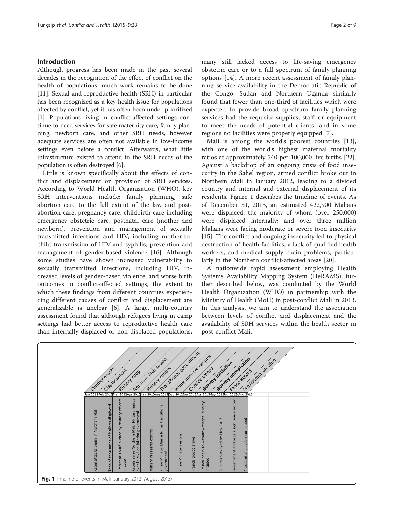# Introduction

Although progress has been made in the past several decades in the recognition of the effect of conflict on the health of populations, much work remains to be done [[11\]](#page-8-0). Sexual and reproductive health (SRH) in particular has been recognized as a key health issue for populations affected by conflict, yet it has often been under-prioritized [[1\]](#page-8-0). Populations living in conflict-affected settings continue to need services for safe maternity care, family planning, newborn care, and other SRH needs, however adequate services are often not available in low-income settings even before a conflict. Afterwards, what little infrastructure existed to attend to the SRH needs of the population is often destroyed [[6\]](#page-8-0).

Little is known specifically about the effects of conflict and displacement on provision of SRH services. According to World Health Organization (WHO), key SRH interventions include: family planning, safe abortion care to the full extent of the law and postabortion care, pregnancy care, childbirth care including emergency obstetric care, postnatal care (mother and newborn), prevention and management of sexually transmitted infections and HIV, including mother-tochild transmission of HIV and syphilis, prevention and management of gender-based violence [[16\]](#page-8-0). Although some studies have shown increased vulnerability to sexually transmitted infections, including HIV, increased levels of gender-based violence, and worse birth outcomes in conflict-affected settings, the extent to which these findings from different countries experiencing different causes of conflict and displacement are generalizable is unclear [[6\]](#page-8-0). A large, multi-country assessment found that although refugees living in camp settings had better access to reproductive health care than internally displaced or non-displaced populations, many still lacked access to life-saving emergency obstetric care or to a full spectrum of family planning options [\[14](#page-8-0)]. A more recent assessment of family planning service availability in the Democratic Republic of the Congo, Sudan and Northern Uganda similarly found that fewer than one-third of facilities which were expected to provide broad spectrum family planning services had the requisite supplies, staff, or equipment to meet the needs of potential clients, and in some regions no facilities were properly equipped [[7\]](#page-8-0).

Mali is among the world's poorest countries [\[13](#page-8-0)], with one of the world's highest maternal mortality ratios at approximately 540 per 100,000 live births [\[22](#page-8-0)]. Against a backdrop of an ongoing crisis of food insecurity in the Sahel region, armed conflict broke out in Northern Mali in January 2012, leading to a divided country and internal and external displacement of its residents. Figure 1 describes the timeline of events. As of December 31, 2013, an estimated 422,900 Malians were displaced, the majority of whom (over 250,000) were displaced internally; and over three million Malians were facing moderate or severe food insecurity [[15\]](#page-8-0). The conflict and ongoing insecurity led to physical destruction of health facilities, a lack of qualified health workers, and medical supply chain problems, particularly in the Northern conflict-affected areas [\[20](#page-8-0)].

A nationwide rapid assessment employing Health Systems Availability Mapping System (HeRAMS), further described below, was conducted by the World Health Organization (WHO) in partnership with the Ministry of Health (MoH) in post-conflict Mali in 2013. In this analysis, we aim to understand the association between levels of conflict and displacement and the availability of SRH services within the health sector in post-conflict Mali.

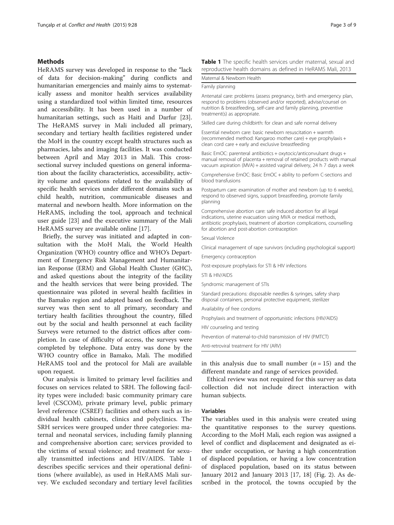# **Methods**

HeRAMS survey was developed in response to the "lack of data for decision-making" during conflicts and humanitarian emergencies and mainly aims to systematically assess and monitor health services availability using a standardized tool within limited time, resources and accessibility. It has been used in a number of humanitarian settings, such as Haiti and Darfur [\[23](#page-8-0)]. The HeRAMS survey in Mali included all primary, secondary and tertiary health facilities registered under the MoH in the country except health structures such as pharmacies, labs and imaging facilities. It was conducted between April and May 2013 in Mali. This crosssectional survey included questions on general information about the facility characteristics, accessibility, activity volume and questions related to the availability of specific health services under different domains such as child health, nutrition, communicable diseases and maternal and newborn health. More information on the HeRAMS, including the tool, approach and technical user guide [[23\]](#page-8-0) and the executive summary of the Mali HeRAMS survey are available online [\[17](#page-8-0)].

Briefly, the survey was initiated and adapted in consultation with the MoH Mali, the World Health Organization (WHO) country office and WHO's Department of Emergency Risk Management and Humanitarian Response (ERM) and Global Health Cluster (GHC), and asked questions about the integrity of the facility and the health services that were being provided. The questionnaire was piloted in several health facilities in the Bamako region and adapted based on feedback. The survey was then sent to all primary, secondary and tertiary health facilities throughout the country, filled out by the social and health personnel at each facility Surveys were returned to the district offices after completion. In case of difficulty of access, the surveys were completed by telephone. Data entry was done by the WHO country office in Bamako, Mali. The modified HeRAMS tool and the protocol for Mali are available upon request.

Our analysis is limited to primary level facilities and focuses on services related to SRH. The following facility types were included: basic community primary care level (CSCOM), private primary level, public primary level reference (CSREF) facilities and others such as individual health cabinets, clinics and polyclinics. The SRH services were grouped under three categories: maternal and neonatal services, including family planning and comprehensive abortion care; services provided to the victims of sexual violence; and treatment for sexually transmitted infections and HIV/AIDS. Table 1 describes specific services and their operational definitions (where available), as used in HeRAMS Mali survey. We excluded secondary and tertiary level facilities Table 1 The specific health services under maternal, sexual and reproductive health domains as defined in HeRAMS Mali, 2013

Maternal & Newborn Health

Family planning

Antenatal care: problems (assess pregnancy, birth and emergency plan, respond to problems (observed and/or reported), advise/counsel on nutrition & breastfeeding, self-care and family planning, preventive treatment(s) as appropriate.

Skilled care during childbirth: for clean and safe normal delivery

Essential newborn care: basic newborn resuscitation + warmth (recommended method: Kangaroo mother care) + eye prophylaxis + clean cord care + early and exclusive breastfeeding

Basic EmOC: parenteral antibiotics + oxytocic/anticonvulsant drugs + manual removal of placenta + removal of retained products with manual vacuum aspiration (MVA) + assisted vaginal delivery, 24 h 7 days a week

Comprehensive EmOC: Basic EmOC + ability to perform C-sections and blood transfusions

Postpartum care: examination of mother and newborn (up to 6 weeks), respond to observed signs, support breastfeeding, promote family planning

Comprehensive abortion care: safe induced abortion for all legal indications, uterine evacuation using MVA or medical methods, antibiotic prophylaxis, treatment of abortion complications, counselling for abortion and post-abortion contraception

Sexual Violence

Clinical management of rape survivors (including psychological support)

Emergency contraception

Post-exposure prophylaxis for STI & HIV infections

STI & HIV/AIDS

Syndromic management of STIs

Standard precautions: disposable needles & syringes, safety sharp disposal containers, personal protective equipment, sterilizer

Availability of free condoms

Prophylaxis and treatment of opportunistic infections (HIV/AIDS)

HIV counseling and testing

Prevention of maternal-to-child transmission of HIV (PMTCT)

Anti-retroviral treatment for HIV (ARV)

in this analysis due to small number  $(n = 15)$  and the different mandate and range of services provided.

Ethical review was not required for this survey as data collection did not include direct interaction with human subjects.

### Variables

The variables used in this analysis were created using the quantitative responses to the survey questions. According to the MoH Mali, each region was assigned a level of conflict and displacement and designated as either under occupation, or having a high concentration of displaced population, or having a low concentration of displaced population, based on its status between January 2012 and January 2013 [\[17](#page-8-0), [18](#page-8-0)] (Fig. [2\)](#page-3-0). As described in the protocol, the towns occupied by the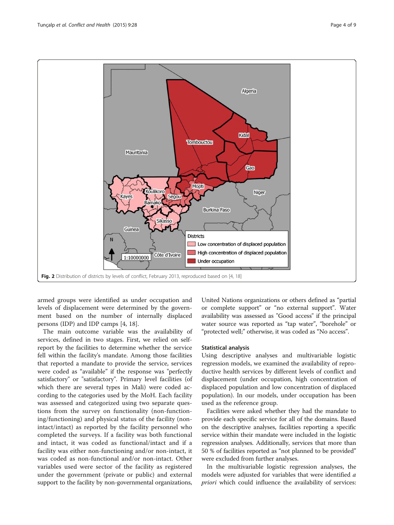<span id="page-3-0"></span>

armed groups were identified as under occupation and levels of displacement were determined by the government based on the number of internally displaced persons (IDP) and IDP camps [[4, 18\]](#page-8-0).

The main outcome variable was the availability of services, defined in two stages. First, we relied on selfreport by the facilities to determine whether the service fell within the facility's mandate. Among those facilities that reported a mandate to provide the service, services were coded as "available" if the response was "perfectly satisfactory" or "satisfactory". Primary level facilities (of which there are several types in Mali) were coded according to the categories used by the MoH. Each facility was assessed and categorized using two separate questions from the survey on functionality (non-functioning/functioning) and physical status of the facility (nonintact/intact) as reported by the facility personnel who completed the surveys. If a facility was both functional and intact, it was coded as functional/intact and if a facility was either non-functioning and/or non-intact, it was coded as non-functional and/or non-intact. Other variables used were sector of the facility as registered under the government (private or public) and external support to the facility by non-governmental organizations,

United Nations organizations or others defined as "partial or complete support" or "no external support". Water availability was assessed as "Good access" if the principal water source was reported as "tap water", "borehole" or "protected well;" otherwise, it was coded as "No access".

# Statistical analysis

Using descriptive analyses and multivariable logistic regression models, we examined the availability of reproductive health services by different levels of conflict and displacement (under occupation, high concentration of displaced population and low concentration of displaced population). In our models, under occupation has been used as the reference group.

Facilities were asked whether they had the mandate to provide each specific service for all of the domains. Based on the descriptive analyses, facilities reporting a specific service within their mandate were included in the logistic regression analyses. Additionally, services that more than 50 % of facilities reported as "not planned to be provided" were excluded from further analyses.

In the multivariable logistic regression analyses, the models were adjusted for variables that were identified  $a$ priori which could influence the availability of services: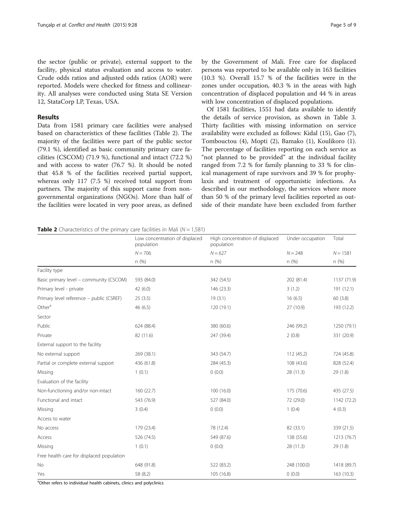the sector (public or private), external support to the facility, physical status evaluation and access to water. Crude odds ratios and adjusted odds ratios (AOR) were reported. Models were checked for fitness and collinearity. All analyses were conducted using Stata SE Version 12, StataCorp LP, Texas, USA.

# Results

Data from 1581 primary care facilities were analysed based on characteristics of these facilities (Table 2). The majority of the facilities were part of the public sector (79.1 %), identified as basic community primary care facilities (CSCOM) (71.9 %), functional and intact (72.2 %) and with access to water (76.7 %). It should be noted that 45.8 % of the facilities received partial support, whereas only 117 (7.5 %) received total support from partners. The majority of this support came from nongovernmental organizations (NGOs). More than half of the facilities were located in very poor areas, as defined

by the Government of Mali. Free care for displaced persons was reported to be available only in 163 facilities (10.3 %). Overall 15.7 % of the facilities were in the zones under occupation, 40.3 % in the areas with high concentration of displaced population and 44 % in areas with low concentration of displaced populations.

Of 1581 facilities, 1551 had data available to identify the details of service provision, as shown in Table [3](#page-5-0). Thirty facilities with missing information on service availability were excluded as follows: Kidal (15), Gao (7), Tombouctou (4), Mopti (2), Bamako (1), Koulikoro (1). The percentage of facilities reporting on each service as "not planned to be provided" at the individual facility ranged from 7.2 % for family planning to 33 % for clinical management of rape survivors and 39 % for prophylaxis and treatment of opportunistic infections. As described in our methodology, the services where more than 50 % of the primary level facilities reported as outside of their mandate have been excluded from further

| <b>Table 2</b> Characteristics of the primary care facilities in Mali ( $N = 1,581$ ) |  |
|---------------------------------------------------------------------------------------|--|
|---------------------------------------------------------------------------------------|--|

|                                           | Low concentration of displaced<br>population | High concentration of displaced<br>population | Under occupation | Total       |  |
|-------------------------------------------|----------------------------------------------|-----------------------------------------------|------------------|-------------|--|
|                                           | $N = 706$                                    | $N = 627$                                     | $N = 248$        | $N = 1581$  |  |
|                                           | n(%)                                         | n(%)                                          | n(%)             | n(%)        |  |
| Facility type                             |                                              |                                               |                  |             |  |
| Basic primary level - community (CSCOM)   | 593 (84.0)                                   | 342 (54.5)                                    | 202 (81.4)       | 1137 (71.9) |  |
| Primary level - private                   | 42 (6.0)                                     | 146 (23.3)                                    | 3(1.2)           | 191(12.1)   |  |
| Primary level reference - public (CSREF)  | 25(3.5)                                      | 19(3.1)                                       | 16(6.5)          | 60(3.8)     |  |
| Other <sup>a</sup>                        | 46 (6.5)                                     | 120 (19.1)                                    | 27 (10.9)        | 193 (12.2)  |  |
| Sector                                    |                                              |                                               |                  |             |  |
| Public                                    | 624 (88.4)                                   | 380 (60.6)                                    | 246 (99.2)       | 1250 (79.1) |  |
| Private                                   | 82 (11.6)                                    | 247 (39.4)                                    | 2(0.8)           | 331 (20.9)  |  |
| External support to the facility          |                                              |                                               |                  |             |  |
| No external support                       | 269 (38.1)                                   | 343 (54.7)                                    | 112 (45.2)       | 724 (45.8)  |  |
| Partial or complete external support      | 436 (61.8)                                   | 284 (45.3)                                    | 108 (43.6)       | 828 (52.4)  |  |
| Missing                                   | 1(0.1)                                       | 0(0.0)                                        | 28 (11.3)        | 29(1.8)     |  |
| Evaluation of the facility                |                                              |                                               |                  |             |  |
| Non-functioning and/or non-intact         | 160(22.7)                                    | 100 (16.0)                                    | 175 (70.6)       | 435 (27.5)  |  |
| Functional and intact                     | 543 (76.9)                                   | 527 (84.0)                                    | 72 (29.0)        | 1142 (72.2) |  |
| Missing                                   | 3(0.4)                                       | 0(0.0)                                        | 1(0.4)           | 4(0.3)      |  |
| Access to water                           |                                              |                                               |                  |             |  |
| No access                                 | 179 (23.4)                                   | 78 (12.4)                                     | 82 (33.1)        | 339 (21.5)  |  |
| Access                                    | 526 (74.5)                                   | 549 (87.6)                                    | 138 (55.6)       | 1213 (76.7) |  |
| Missing                                   | 1(0.1)                                       | 0(0.0)                                        | 28 (11.3)        | 29(1.8)     |  |
| Free health care for displaced population |                                              |                                               |                  |             |  |
| No                                        | 648 (91.8)                                   | 522 (83.2)                                    | 248 (100.0)      | 1418 (89.7) |  |
| Yes                                       | 58 (8.2)                                     | 105 (16.8)                                    | 0(0.0)           | 163(10.3)   |  |

<sup>a</sup>Other refers to individual health cabinets, clinics and polyclinics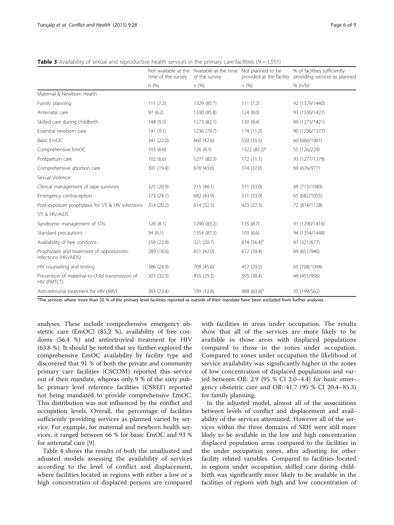<span id="page-5-0"></span>**Table 3** Availability of sexual and reproductive health services in the primary care facilities ( $N = 1,551$ )

|                                                                     | time of the survey | Not available at the Available at the time<br>of the survey | Not planned to be<br>provided at the facility | % of facilities sufficiently<br>providing services as planned<br>% (n/N) |  |
|---------------------------------------------------------------------|--------------------|-------------------------------------------------------------|-----------------------------------------------|--------------------------------------------------------------------------|--|
|                                                                     | n(%)               | n(%)                                                        | n(%)                                          |                                                                          |  |
| Maternal & Newborn Health                                           |                    |                                                             |                                               |                                                                          |  |
| Family planning                                                     | 111(7.2)           | 1329 (85.7)                                                 | 111(7.2)                                      | 92 (1329/1440)                                                           |  |
| Antenatal care                                                      | 97(6.2)            | 1330 (85.8)                                                 | 124(8.0)                                      | 93 (1330/1427)                                                           |  |
| Skilled care during childbirth                                      | 148 (9.5)          | 1273 (82.1)                                                 | 130 (8.4)                                     | 89 (1273/1421)                                                           |  |
| Essential newborn care                                              | 141(9.1)           | 1236 (79.7)                                                 | 174 (11.2)                                    | 90 (1236/1377)                                                           |  |
| Basic EmOC                                                          | 341 (22.0)         | 660 (42.6)                                                  | 550 (35.5)                                    | 66 (660/1001)                                                            |  |
| Comprehensive EmOC                                                  | 103(6.6)           | 126(8.1)                                                    | 1322 $(85.2)^a$                               | 55 (126/229)                                                             |  |
| Postpartum care                                                     | 102(6.6)           | 1277 (82.3)                                                 | 172(11.1)                                     | 93 (1277/1379)                                                           |  |
| Comprehensive abortion care                                         | 301 (19.4)         | 676 (43.6)                                                  | 574 (37.0)                                    | 69 (676/977)                                                             |  |
| Sexual Violence                                                     |                    |                                                             |                                               |                                                                          |  |
| Clinical management of rape survivors                               | 325 (20.9)         | 715 (46.1)                                                  | 511 (33.0)                                    | 69 (715/1040)                                                            |  |
| Emergency contraception                                             | 373 (24.1)         | 682 (43.9)                                                  | 511 (33.0)                                    | 65 (682/1055)                                                            |  |
| Post-exposure prophylaxis for STI & HIV infections                  | 314 (20.2)         | 814 (52.5)                                                  | 423 (27.3)                                    | 72 (814/1128)                                                            |  |
| STI & HIV/AIDS                                                      |                    |                                                             |                                               |                                                                          |  |
| Syndromic management of STIs                                        | 126(8.1)           | 1290 (83.2)                                                 | 135(8.7)                                      | 91 (1290/1416)                                                           |  |
| Standard precautions                                                | 94(6.1)            | 1354 (87.3)                                                 | 103(6.6)                                      | 94 (1354/1448)                                                           |  |
| Availability of free condoms                                        | 356 (22.9)         | 321 (20.7)                                                  | 874 (56.4) <sup>a</sup>                       | 47 (321/677)                                                             |  |
| Prophylaxis and treatment of opportunistic<br>infections (HIV/AIDS) | 289 (18.6)         | 651 (42.0)                                                  | 612 (39.4)                                    | 69 (651/940)                                                             |  |
| HIV counseling and testing                                          | 386 (24.9)         | 708 (45.6)                                                  | 457 (29.5)                                    | 65 (708/1094)                                                            |  |
| Prevention of maternal-to-child transmission of<br>HIV (PMTCT)      | 501 (32.3)         | 455 (29.3)                                                  | 595 (38.4)                                    | 48 (455/956)                                                             |  |
| Anti-retroviral treatment for HIV (ARV)                             | 363 (23.4)         | 199 (12.8)                                                  | 989 $(63.8)^a$                                | 35 (199/562)                                                             |  |

<sup>a</sup>The services where more than 50 % of the primary level facilities reported as outside of their mandate have been excluded from further analyses

analyses. These include comprehensive emergency obstetric care (EmOC) (85.2 %), availability of free condoms (56.4 %) and antiretroviral treatment for HIV (63.8 %). It should be noted that we further explored the comprehensive EmOC availability by facility type and discovered that 91 % of both the private and community primary care facilities (CSCOM) reported this service out of their mandate, whereas only 9 % of the sixty public primary level reference facilities (CSREF) reported not being mandated to provide comprehensive EmOC. This distribution was not influenced by the conflict and occupation levels. Overall, the percentage of facilities sufficiently providing services as planned varied by service. For example, for maternal and newborn health services, it ranged between 66 % for basic EmOC and 93 % for antenatal care [[9](#page-8-0)].

Table [4](#page-6-0) shows the results of both the unadjusted and adjusted models assessing the availability of services according to the level of conflict and displacement, where facilities located in regions with either a low or a high concentration of displaced persons are compared with facilities in areas under occupation. The results show that all of the services are more likely to be available in those areas with displaced populations compared to those in the zones under occupation. Compared to zones under occupation the likelihood of service availability was significantly higher in the zones of low concentration of displaced populations and varied between OR: 2.9 (95 % CI 2.0–4.4) for basic emergency obstetric care and OR: 41.7 (95 % CI 20.4–85.3) for family planning.

In the adjusted model, almost all of the associations between levels of conflict and displacement and availability of the services attenuated. However all of the services within the three domains of SRH were still more likely to be available in the low and high concentration displaced population areas compared to the facilities in the under occupation zones, after adjusting for other facility related variables. Compared to facilities located in regions under occupation, skilled care during childbirth was significantly more likely to be available in the facilities of regions with high and low concentration of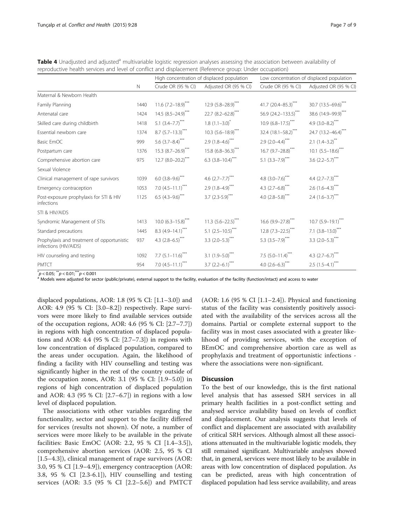|                                                                     | N    | High concentration of displaced population |                                  | Low concentration of displaced population |                                  |
|---------------------------------------------------------------------|------|--------------------------------------------|----------------------------------|-------------------------------------------|----------------------------------|
|                                                                     |      | Crude OR (95 % CI)                         | Adjusted OR (95 % CI)            | Crude OR (95 % CI)                        | Adjusted OR (95 % CI)            |
| Maternal & Newborn Health                                           |      |                                            |                                  |                                           |                                  |
| Family Planning                                                     | 1440 | $11.6$ (7.2–18.9) <sup>***</sup>           | $12.9(5.8-28.9)$ ***             | 41.7 $(20.4 - 85.3)^{***}$                | 30.7 $(13.5 - 69.6)^{***}$       |
| Antenatal care                                                      | 1424 | 14.5 $(8.5 - 24.9)$ ***                    | 22.7 $(8.2 - 62.8)$ ***          | 56.9 (24.2-133.5)***                      | 38.6 (14.9-99.9)***              |
| Skilled care during childbirth                                      | 1418 | 5.1 $(3.4 - 7.7)^{***}$                    | $1.8$ $(1.1 - 3.0)^{*}$          | $10.9$ (6.8-17.5) <sup>***</sup>          | 4.9 $(3.0 - 8.2)^{***}$          |
| Essential newborn care                                              | 1374 | $8.7 (5.7 - 13.3)^{***}$                   | $10.3 (5.6 - 18.9)^{***}$        | 32.4 $(18.1 - 58.2)^{***}$                | 24.7 (13.2-46.4)***              |
| Basic EmOC                                                          | 999  | 5.6 $(3.7 - 8.4)$ ***                      | $2.9(1.8-4.6)$ ***               | $2.9(2.0-4.4)$ ***                        | $2.1 (1.4 - 3.2)^{**}$           |
| Postpartum care                                                     | 1376 | 15.3 $(8.7 - 26.9)$ ***                    | $15.8$ (6.8-36.3) <sup>***</sup> | $16.7 (9.7 - 28.8)$ ***                   | $10.1 (5.5 - 18.6)^{***}$        |
| Comprehensive abortion care                                         | 975  | $12.7 (8.0 - 20.2)$ ***                    | 6.3 $(3.8 - 10.4)$ ***           | 5.1 $(3.3-7.9)$ ***                       | 3.6 $(2.2 - 5.7)$ ***            |
| Sexual Violence                                                     |      |                                            |                                  |                                           |                                  |
| Clinical management of rape survivors                               | 1039 | $6.0$ (3.8–9.6) <sup>***</sup>             | 4.6 $(2.7 - 7.7)^{***}$          | 4.8 $(3.0 - 7.6)$ ***                     | 4.4 $(2.7 - 7.3)$ ***            |
| Emergency contraception                                             | 1053 | 7.0 $(4.5 - 11.1)$ ***                     | $2.9(1.8-4.9)$ ***               | 4.3 $(2.7-6.8)$ ***                       | $2.6$ $(1.6-4.3)$ ***            |
| Post-exposure prophylaxis for STI & HIV<br>infections               | 1125 | 6.5 $(4.3-9.6)$ <sup>***</sup>             | 3.7 $(2.3-5.9)$ ***              | 4.0 $(2.8-5.8)$ ***                       | $2.4$ $(1.6-3.7)$ ***            |
| STI & HIV/AIDS                                                      |      |                                            |                                  |                                           |                                  |
| Syndromic Management of STIs                                        | 1413 | $10.0$ (6.3-15.8) <sup>***</sup>           | $11.3 (5.6 - 22.5)^{***}$        | $16.6$ (9.9-27.8) <sup>***</sup>          | $10.7$ (5.9-19.1) <sup>***</sup> |
| Standard precautions                                                | 1445 | $8.3$ (4.9-14.1) <sup>***</sup>            | 5.1 $(2.5-10.5)$ ***             | $12.8$ (7.3-22.5) <sup>***</sup>          | 7.1 $(3.8-13.0)^{***}$           |
| Prophylaxis and treatment of opportunistic<br>infections (HIV/AIDS) | 937  | 4.3 $(2.8-6.5)$ ***                        | 3.3 $(2.0-5.3)$ ***              | 5.3 $(3.5-7.9)$ ***                       | 3.3 $(2.0-5.3)$ ***              |
| HIV counseling and testing                                          | 1092 | 7.7 $(5.1 - 11.6)^{***}$                   | 3.1 $(1.9-5.0)$ ***              | 7.5 $(5.0 - 11.4)$ ***                    | 4.3 $(2.7-6.7)$ ***              |
| <b>PMTCT</b>                                                        | 954  | 7.0 $(4.5 - 11.1)^{***}$                   | $3.7 (2.2 - 6.1)$ ***            | 4.0 $(2.6-6.3)$ ***                       | $2.5$ $(1.5-4.1)$ ***            |

<span id="page-6-0"></span>Table 4 Unadjusted and adjusted<sup>a</sup> multivariable logistic regression analyses assessing the association between availability of reproductive health services and level of conflict and displacement (Reference group: Under occupation)

 $p < 0.05;$   $\sqrt[3]{p} < 0.01;$   $\sqrt[3]{p} < 0.001$ 

Models were adjusted for sector (public/private), external support to the facility, evaluation of the facility (function/intact) and access to water

displaced populations, AOR: 1.8 (95 % CI: [1.1–3.0]) and AOR: 4.9 (95 % CI: [3.0–8.2]) respectively. Rape survivors were more likely to find available services outside of the occupation regions, AOR: 4.6 (95 % CI: [2.7–7.7]) in regions with high concentration of displaced populations and AOR:  $4.4$  (95 % CI: [2.7–7.3]) in regions with low concentration of displaced population, compared to the areas under occupation. Again, the likelihood of finding a facility with HIV counselling and testing was significantly higher in the rest of the country outside of the occupation zones, AOR: 3.1 (95 % CI: [1.9–5.0]) in regions of high concentration of displaced population and AOR: 4.3 (95 % CI: [2.7–6.7]) in regions with a low level of displaced population.

The associations with other variables regarding the functionality, sector and support to the facility differed for services (results not shown). Of note, a number of services were more likely to be available in the private facilities: Basic EmOC (AOR: 2.2, 95 % CI [1.4–3.5]), comprehensive abortion services (AOR: 2.5, 95 % CI [1.5–4.3]), clinical management of rape survivors (AOR: 3.0, 95 % CI [1.9–4.9]), emergency contraception (AOR: 3.8, 95 % CI [2.3-6.1]), HIV counselling and testing services (AOR: 3.5 (95 % CI [2.2–5.6]) and PMTCT

(AOR: 1.6 (95 % CI  $[1.1–2.4]$ ). Physical and functioning status of the facility was consistently positively associated with the availability of the services across all the domains. Partial or complete external support to the facility was in most cases associated with a greater likelihood of providing services, with the exception of BEmOC and comprehensive abortion care as well as prophylaxis and treatment of opportunistic infections where the associations were non-significant.

# **Discussion**

To the best of our knowledge, this is the first national level analysis that has assessed SRH services in all primary health facilities in a post-conflict setting and analysed service availability based on levels of conflict and displacement. Our analysis suggests that levels of conflict and displacement are associated with availability of critical SRH services. Although almost all these associations attenuated in the multivariable logistic models, they still remained significant. Multivariable analyses showed that, in general, services were most likely to be available in areas with low concentration of displaced population. As can be predicted, areas with high concentration of displaced population had less service availability, and areas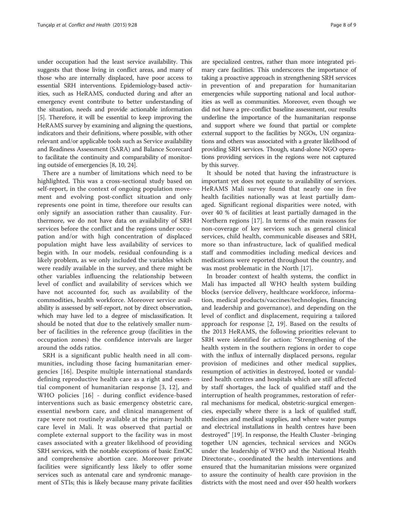under occupation had the least service availability. This suggests that those living in conflict areas, and many of those who are internally displaced, have poor access to essential SRH interventions. Epidemiology-based activities, such as HeRAMS, conducted during and after an emergency event contribute to better understanding of the situation, needs and provide actionable information [5]. Therefore, it will be essential to keep improving the HeRAMS survey by examining and aligning the questions, indicators and their definitions, where possible, with other relevant and/or applicable tools such as Service availability and Readiness Assessment (SARA) and Balance Scorecard to facilitate the continuity and comparability of monitoring outside of emergencies [8, 10, 24].

There are a number of limitations which need to be highlighted. This was a cross-sectional study based on self-report, in the context of ongoing population movement and evolving post-conflict situation and only represents one point in time, therefore our results can only signify an association rather than causality. Furthermore, we do not have data on availability of SRH services before the conflict and the regions under occupation and/or with high concentration of displaced population might have less availability of services to begin with. In our models, residual confounding is a likely problem, as we only included the variables which were readily available in the survey, and there might be other variables influencing the relationship between level of conflict and availability of services which we have not accounted for, such as availability of the commodities, health workforce. Moreover service availability is assessed by self-report, not by direct observation, which may have led to a degree of misclassification. It should be noted that due to the relatively smaller number of facilities in the reference group (facilities in the occupation zones) the confidence intervals are larger around the odds ratios.

SRH is a significant public health need in all communities, including those facing humanitarian emergencies [\[16](#page-8-0)]. Despite multiple international standards defining reproductive health care as a right and essential component of humanitarian response [[3](#page-8-0), [12\]](#page-8-0), and WHO policies [[16](#page-8-0)] - during conflict evidence-based interventions such as basic emergency obstetric care, essential newborn care, and clinical management of rape were not routinely available at the primary health care level in Mali. It was observed that partial or complete external support to the facility was in most cases associated with a greater likelihood of providing SRH services, with the notable exceptions of basic EmOC and comprehensive abortion care. Moreover private facilities were significantly less likely to offer some services such as antenatal care and syndromic management of STIs; this is likely because many private facilities

are specialized centres, rather than more integrated primary care facilities. This underscores the importance of taking a proactive approach in strengthening SRH services in prevention of and preparation for humanitarian emergencies while supporting national and local authorities as well as communities. Moreover, even though we did not have a pre-conflict baseline assessment, our results underline the importance of the humanitarian response and support where we found that partial or complete external support to the facilities by NGOs, UN organizations and others was associated with a greater likelihood of providing SRH services. Though, stand-alone NGO operations providing services in the regions were not captured by this survey.

It should be noted that having the infrastructure is important yet does not equate to availability of services. HeRAMS Mali survey found that nearly one in five health facilities nationally was at least partially damaged. Significant regional disparities were noted, with over 40 % of facilities at least partially damaged in the Northern regions [\[17](#page-8-0)]. In terms of the main reasons for non-coverage of key services such as general clinical services, child health, communicable diseases and SRH, more so than infrastructure, lack of qualified medical staff and commodities including medical devices and medications were reported throughout the country, and was most problematic in the North [[17\]](#page-8-0).

In broader context of health systems, the conflict in Mali has impacted all WHO health system building blocks (service delivery, healthcare workforce, information, medical products/vaccines/technologies, financing and leadership and governance), and depending on the level of conflict and displacement, requiring a tailored approach for response [\[2](#page-8-0), [19\]](#page-8-0). Based on the results of the 2013 HeRAMS, the following priorities relevant to SRH were identified for action: "Strengthening of the health system in the southern regions in order to cope with the influx of internally displaced persons, regular provision of medicines and other medical supplies, resumption of activities in destroyed, looted or vandalized health centres and hospitals which are still affected by staff shortages, the lack of qualified staff and the interruption of health programmes, restoration of referral mechanisms for medical, obstetric-surgical emergencies, especially where there is a lack of qualified staff, medicines and medical supplies, and where water pumps and electrical installations in health centres have been destroyed" [\[19](#page-8-0)]. In response, the Health Cluster -bringing together UN agencies, technical services and NGOs under the leadership of WHO and the National Health Directorate-, coordinated the health interventions and ensured that the humanitarian missions were organized to assure the continuity of health care provision in the districts with the most need and over 450 health workers